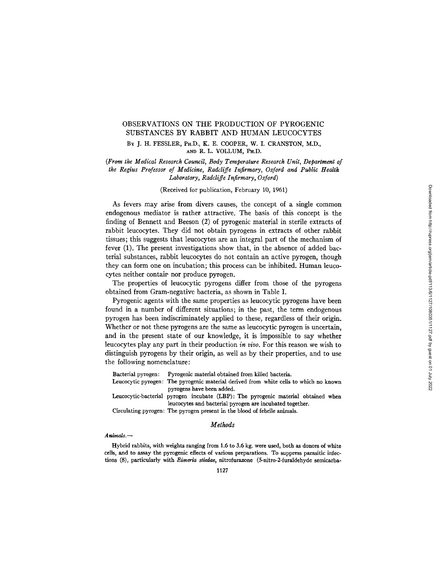# OBSERVATIONS ON THE PRODUCTION OF PYROGENIC SUBSTANCES BY RABBIT AND HUMAN LEUCOCYTES

BY J. H. FESSLER, PH.D., K. E. COOPER, W. I. CRANSTON, M.D., Am) R. L. VOLLUM, PH.D.

*(From the Medical Research Council, Body Temperature Research Unit, Department of the Regius Professor of Medicine, Radcliffe Infirmary, Oxford and Public Health Laboratory, Radcliffe Infirmary, Oxford)* 

## (Received for publication, February 10, 1961)

As fevers may arise from divers causes, the concept of a single common endogenous mediator is rather attractive. The basis of this concept is the finding of Bennett and Beeson (2) of pyrogenic material in sterile extracts of rabbit leucocytes. They did not obtain pyrogens in extracts of other rabbit tissues; this suggests that leucocytes are an integral part of the mechanism of fever (1). The present investigations show that, in the absence of added bacterial substances, rabbit leucocytes do not contain an active pyrogen, though they can form one on incubation; this process can be inhibited. Human leucocytes neither contaip nor produce pyrogen.

The properties of leucocytic pyrogens differ from those of the pyrogens obtained from Gram-negative bacteria, as shown in Table I.

Pyrogenic agents with the same properties as leucocytic pyrogens have been found in a number of different situations; in the past, the term endogenous pyrogen has been indiscriminately applied to these, regardless of their origin. Whether or not these pyrogens are the same as leucocytic pyrogen is uncertain, and in the present state of our knowledge, it is impossible to say whether leucocytes play any part in their production *in vivo.* For this reason we wish to distinguish pyrogens by their origin, as well as by their properties, and to use the following nomenclature:

|                                                                           | Bacterial pyrogen: Pyrogenic material obtained from killed bacteria.                  |  |  |  |
|---------------------------------------------------------------------------|---------------------------------------------------------------------------------------|--|--|--|
|                                                                           | Leucocytic pyrogen: The pyrogenic material derived from white cells to which no known |  |  |  |
|                                                                           | pyrogens have been added.                                                             |  |  |  |
|                                                                           | Leucocytic-bacterial pyrogen incubate (LBP): The pyrogenic material obtained when     |  |  |  |
|                                                                           | leucocytes and bacterial pyrogen are incubated together.                              |  |  |  |
| Circulating pyrogen: The pyrogen present in the blood of febrile animals. |                                                                                       |  |  |  |

## *Methods*

### *Animals.--*

Hybrid rabbits, with weights ranging from 1.6 to 3.6 kg. were used, both **as donors** of white **cells, and to assay** the pyrogenic **effects of various preparations. To suppress parasitic infections (8), particularly with** *Eimeria stiedae,* **nitrofurazone (5-nitro-2-furaldehyde semicarba-**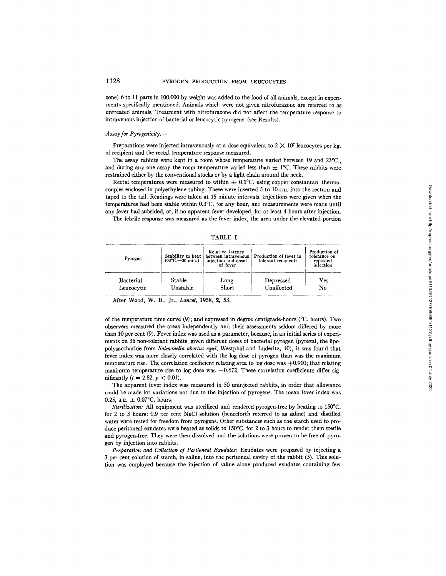zone) 6 to 11 parts in 100,000 by weight was added to the food of all animals, except in experiments specifically mentioned. Animals which were not given nitrofurazone are referred to as untreated animals. Treatment with nitrofurazone did not affect the temperature response to intravenous injection of bacterial or leucocytic pyrogens (see Results).

#### *Assay for Pyrogenicily.--*

Preparations were injected intravenously at a dose equivalent to  $2 \times 10^7$  leucocytes per kg. of recipient and the rectal temperature response measured.

The assay rabbits were kept in a room whose temperature varied between 19 and 23°C., and during any one assay the room temperature varied less than  $\pm 1^{\circ}$ C. These rabbits were restrained either by the conventional stocks or by a light chain around the neck.

Rectal temperatures were measured to within  $\pm 0.1^{\circ}$ C. using copper constantan thermocouples enclosed in polyethylene tubing. These were inserted 5 to 10 cm. into the rectum and taped to the tail. Readings were taken at 15 minute intervals. Injections were given when the temperatures had been stable within 0.3°C. for any hour, and measurements were made until any fever had subsided, or, if no apparent fever developed, for at least 4 hours after injection.

The febrile response was measured as the fever index, the area under the elevated portion

TABLE I

| Pyrogen          | $(90^{\circ}C - 30$ min.) | Relative latency<br>Stability to heat   between intravenous<br>injection and onset<br>of fever | Production of fever in<br>tolerant recipients | Production of<br>tolerance on<br>repeated<br>injection |
|------------------|---------------------------|------------------------------------------------------------------------------------------------|-----------------------------------------------|--------------------------------------------------------|
| <b>Bacterial</b> | Stable                    | Long                                                                                           | Depressed                                     | $_{\rm Yes}$                                           |
| Leucocytic       | Unstable                  | <b>Short</b>                                                                                   | Unaffected                                    | No                                                     |

After Wood, W. B., Jr., *Lancet,* 1958, 2, 53.

of the temperature time curve  $(9)$ ; and expressed in degree centigrade-hours ( $\degree$ C. hours). Two observers measured the areas independently and their assessments seldom differed by more than 10 per cent (9). Fever index was used as a parameter, because, in an initial series of experiments on 36 non-tolerant rabbits, given different doses of bacterial pyrogen (pyrexal, the lipopolysaccharide from *Salmonella abortus equi,* Westphal and Liideritz, 10), it was found that fever index was more closely correlated with the log dose of pyrogen than was the maximum temperature rise. The correlation coefficient relating area to log dose was  $+0.910$ ; that relating maximum temperature rise to log dose was  $+0.672$ . These correlation coefficients differ significantly ( $t = 2.82, p < 0.01$ ).

The apparent fever index was measured in 50 uninjected rabbits, in order that allowance could be made for variations not due to the injection of pyrogens. The mean fever index was 0.25, s.e.  $\pm$  0.07°C. hours.

*Sterilization:* All equipment was sterilized and rendered pyrogen-free by heating to 150°C. for 2 to 3 hours: 0.9 per cent NaC1 solution (henceforth referred to as saline) and distilled water were tested for freedom from pyrogens. Other substances such as the starch used to produce peritoneal exudates were heated as solids to 150°C. for 2 to 3 hours to render them sterile and pyrogen-free. They were then dissolved and the solutions were proven to be free of pyrogen by injection into rabbits.

*Preparation and Collection of Peritoneal Exudates:* Exudates were prepared by injecting a 3 per cent solution of starch, in saline, into the peritoneal cavity of the rabbit (5). This solution was employed because the injection of saline alone produced exudates containing few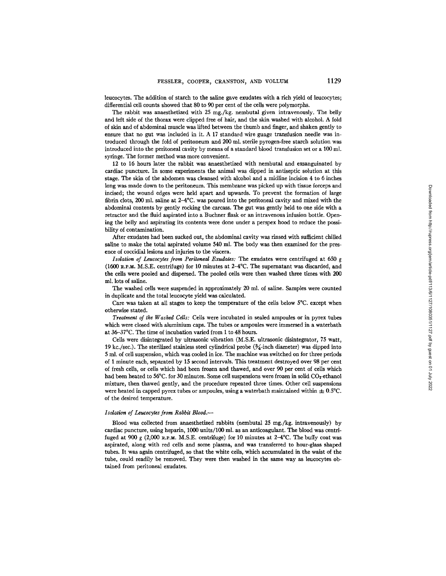leucocytes. The addition of starch to the saline gave exudates with a rich yield of leucocytes; differential cell counts showed that 80 to 90 per cent of the cells were polymorphs.

The rabbit was anaesthetized with 25 mg./kg, nembutal given intravenously. The belly and left side of the thorax were clipped free of hair, and the skin washed with alcohol. A fold of skin and of abdominal muscle was lifted between the thumb and finger, and shaken gently to ensure that no gut was included in it. A 17 standard wire guage transfusion needle was introduced through the fold of peritoneum and 200 ml. sterile pyrogen-free starch solution was introduced into the peritoneal cavity by means of a standard blood transfusion set or a 100 ml. syringe. The former method was more convenient.

12 to 16 hours later the rabbit was anaesthetized with nembutal and exsanguinated by cardiac puncture. In some experiments the animal was dipped in antiseptic solution at this stage. The skin of the abdomen was cleansed with alcohol and a midline incision 4 to 6 inches long was made down to the peritoneum. This membrane was picked up with tissue forceps and incised; the wound edges were held apart and upwards. To prevent the formation of large fibrin clots, 200 ml. saline at  $2-4$ °C. was poured into the peritoneal cavity and mixed with the abdominal contents by gently rocking the carcass. The gut was gently held to one side with a retractor and the fluid aspirated into a Buchner flask or an intravenous infusion bottle. Opening the belly and aspirating its contents were done under a perspex hood to reduce the possibility of contamination.

After exudates had been sucked out, the abdominal cavity was rinsed with sufficient chilled saline to make the total aspirated volume 540 ml. The body was then examined for the presence of coccidial lesions and injuries to the viscera.

*Isolation of Leucocytes from Peritoneal Exudates:* The exudates were centrifuged at 650 g (1600 a.P.m M.S.E. centrifuge) for 10 minutes at 24°C. The supernatant was discarded, and the cells were pooled and dispersed. The pooled cells were then washed three times with 200 ml. lots of saline.

The washed cells were suspended in approximately 20 ml. of saline. Samples were counted in duplicate and the total leucocyte yield was calculated.

Care was taken at all stages to keep the temperature of the cells below 5°C. except when otherwise stated.

*Treatment of the Washed Cells:* Cells were incubated in sealed ampoules or in pyrex tubes which were closed with aluminium caps. The tubes or ampoules were immersed in a waterbath at 36-37°C. The time of incubation varied from 1 to 48 hours.

Cells were disintegrated by ultrasonic vibration (M.S.E. ultrasonic disintegrator, 75 watt, 19 kc./sec.). The sterilized stainless steel cylindrical probe  $(\frac{3}{4})$  inch diameter) was dipped into 5 ml. of cell suspension, which was cooled in ice. The machine was switched on for three periods of 1 minute each, separated by 15 second intervals. This treatment destroyed over 98 per cent of fresh cells, or cells which had been frozen and thawed, and over 90 per cent of cells which had been heated to 56°C. for 30 minutes. Some cell suspensions were frozen in solid CO<sub>2</sub>-ethanol mixture, then thawed gently, and the procedure repeated three times. Other cell suspensions were heated in capped pyrex tubes or ampoules, using a waterbath maintained within  $\pm$  0.5°C. of the desired temperature.

#### *Isolation of Leuvoeytes from Rabbit Blood.-*

Blood was collected from anaesthetized rabbits (nembutal 25 mg./kg, intravenously) by cardiac puncture, using heparin, 1000 units/100 ml. as an anticoagulant. The blood was centrifuged at 900 g (2,000 R.P.M. M.S.E. centrifuge) for 10 minutes at 2-4°C. The buffy coat was aspirated, along with red cells and some plasma, and was transferred to hour-giass shaped tubes. It was again centrifuged, so that the white ceils, which accumulated in the waist of the tube, could readily be removed. They were then washed in the same way as leucocytes obtained from peritoneal exudates.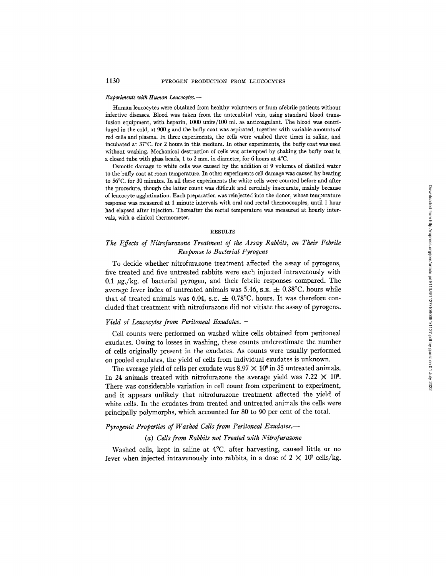#### *Experiments with Human Leucocytes.-*

Human leucocytes were obtained from healthy volunteers or from afebrile patients without infective diseases. Blood was taken from the antecubital vein, using standard blood transfusion equipment, with heparin, 1000 units/100 ml. as anticoagulant. The blood was centrifuged in the cold, at 900 g and the buffy coat was aspirated, together with variable amounts of red cells and plasma. In three experiments, the cells were washed three times in saline, and incubated at 37°C. for 2 hours in this medium. In other experiments, the buffy coat was used without washing. Mechanical destruction of cells was attempted by shaking the buffy coat in a closed tube with glass beads, t to 2 mm. in diameter, for 6 hours at 4°C.

Osmotic damage to white cells was caused by the addition of 9 volumes of distilled water to the buffy coat at room temperature. In other experiments cell damage was caused by heating to 56°C. for 30 minutes. In all these experiments the white cells were counted before and after the procedure, though the latter count was difficult and certainly inaccurate, mainly because of leucocyte agglutination. Each preparation was reinjected into the donor, whose temperature response was measured at 1 minute intervals with oral and rectal thermocouples, until 1 hour had elapsed after injection. Thereafter the rectal temperature was measured at hourly intervals, with a clinical thermometer.

### **RESULTS**

# *The Effects of Nitrofurazone Treatment of the Assay Rabbits, on Their Febrile Response to Bacterial Pyrogens*

To decide whether nitrofurazone treatment affected the assay of pyrogens, five treated and five untreated rabbits were each injected intravenously with 0.1  $\mu$ g./kg. of bacterial pyrogen, and their febrile responses compared. The average fever index of untreated animals was 5.46, s.e.  $\pm$  0.38°C. hours while that of treated animals was 6.04, s.e.  $\pm$  0.78°C. hours. It was therefore concluded that treatment with nitrofurazone did not vitiate the assay of pyrogens.

## *Yield of Leucocytes from Peritoneal Exudates.--*

Cell counts were performed on washed white cells obtained from peritoneal exudates. Owing to losses in washing, these counts underestimate the number of cells originally present in the exudates. As counts were usually performed on pooled exudates, the yield of cells from individual exudates is unknown.

The average yield of cells per exudate was  $8.97 \times 10^8$  in 35 untreated animals. In 24 animals treated with nitrofurazone the average yield was  $7.22 \times 10^8$ . There was considerable variation in cell count from experiment to experiment, and it appears unlikely that nitrofurazone treatment affected the yield of white ceils. In the exudates from treated and untreated animals the cells were principally polyrnorphs, which accounted for 80 to 90 per cent of the total.

# *Pyrogenie Properties of Washed Cells from Peritoneal Exudates.--*

## *(a) Cells from Rabbits not Treated with Nitrofurazone*

Washed cells, kept in saline at 4°C. after harvesting, caused little or no fever when injected intravenously into rabbits, in a dose of  $2 \times 10^7$  cells/kg.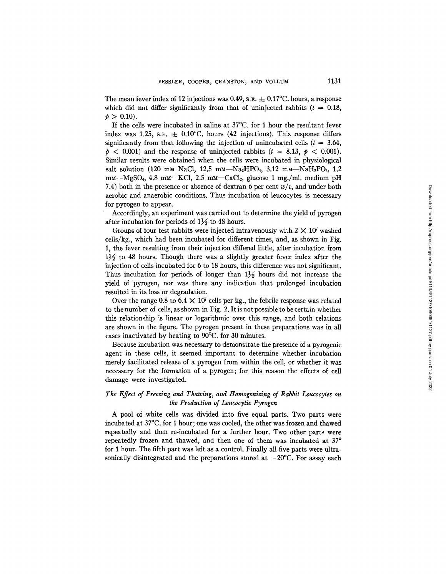The mean fever index of 12 injections was 0.49, s.e.  $\pm$  0.17°C. hours, a response which did not differ significantly from that of uninjected rabbits  $(t = 0.18$ ,  $p > 0.10$ .

If the cells were incubated in saline at 37°C. for 1 hour the resultant fever index was 1.25, s.e.  $\pm$  0.10°C. hours (42 injections). This response differs significantly from that following the injection of unincubated cells ( $t = 3.64$ ,  $p > 0.001$  and the response of uninjected rabbits ( $t = 8.13$ ,  $p < 0.001$ ). Similar results were obtained when the cells were incubated in physiological salt solution (120 mm NaCl, 12.5 mm-Na<sub>2</sub>HPO<sub>4</sub>, 3.12 mm-NaH<sub>2</sub>PO<sub>4</sub>, 1.2  $mm-MgSO<sub>4</sub>$ , 4.8 mm-KCl, 2.5 mm-CaCl<sub>2</sub>, glucose 1 mg./ml. medium pH 7.4) both in the presence or absence of dextran 6 per cent *w/v,* and under both aerobic and anaerobic conditions. Thus incubation of leucocytes is necessary for pyrogen to appear.

Accordingly, an experiment was carried out to determine the yield of pyrogen after incubation for periods of  $1\frac{1}{2}$  to 48 hours.

Groups of four test rabbits were injected intravenously with  $2 \times 10^7$  washed cells/kg., which had been incubated for different times, and, as shown in Fig. 1, the fever resulting from their injection differed little, after incubation from  $1\frac{1}{2}$  to 48 hours. Though there was a slightly greater fever index after the injection of cells incubated for 6 to 18 hours, this difference was not significant. Thus incubation for periods of longer than  $1\frac{1}{2}$  hours did not increase the yield of pyrogen, nor was there any indication that prolonged incubation resulted in its loss or degradation.

Over the range 0.8 to  $6.4 \times 10^7$  cells per kg., the febrile response was related to the number of cells, as shown in Fig. 2. It is not possible to be certain whether this relationship is linear or logarithmic over this range, and both relations are shown in the figure. The pyrogen present in these preparations was in all cases inactivated by heating to 90°C. for 30 minutes.

Because incubation was necessary to demonstrate the presence of a pyrogenic agent in these cells, it seemed important to determine whether incubation merely facilitated release of a pyrogen from within the cell, or whether it was necessary for the formation of a pyrogen; for this reason the effects of cell damage were investigated.

# *The Effect of Freezing and Thawing, and Homogenizing of Rabbit Leucocytes on the Production of Leucocytic Pyrogen*

A pool of white cells was divided into five equal parts. Two parts were incubated at 37°C. for 1 hour; one was cooled, the other was frozen and thawed repeatedly and then re-incubated for a further hour. Two other parts were repeatedly frozen and thawed, and then one of them was incubated at 37° for 1 hour. The fifth part was left as a control. Finally all five parts were ultrasonically disintegrated and the preparations stored at  $-20^{\circ}$ C. For assay each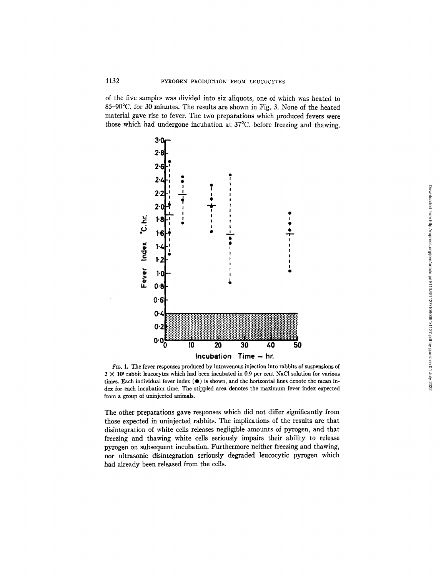of the five samples was divided into six aliquots, one of which was heated to 85-90°C. for 30 minutes. The results are shown in Fig. 3. None of the heated material gave rise to fever. The two preparations which produced fevers were those which had undergone incubation at 37°C. before freezing and thawing.



FIG. 1. The fever responses produced by intravenous injection into rabbits of suspensions of  $2 \times 10^{7}$  rabbit leucocytes which had been incubated in 0.9 per cent NaCl solution for various times. Each individual fever index  $(\bullet)$  is shown, and the horizontal lines denote the mean index for each incubation time. The stippled area denotes the maximum fever index expected from a group of uninjected animals.

The other preparations gave responses which did not differ significantly from those expected in umnjected rabbits. The implications of the results are that disintegration of white cells releases negligible amounts of pyrogen, and that freezing and thawing white cells seriously impairs their ability to release pyrogen on subsequent incubation. Furthermore neither freezing and thawing, nor ultrasonic disintegration seriously degraded leucocytic pyrogen which had already been released from the cells.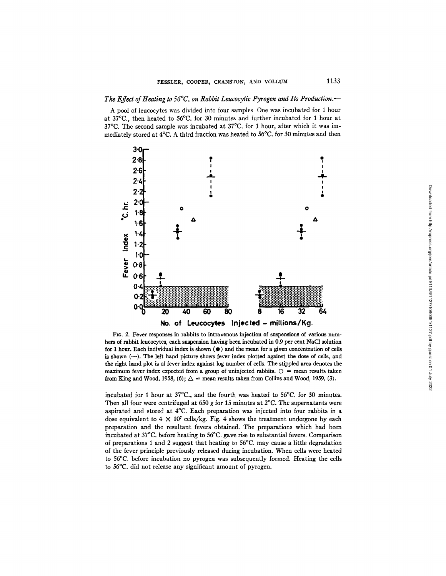### *The Effect of Heating to 56°C. on Rabbit Leucocytic Pyrogen and Its Production.--*

A pool of leucocytes was divided into four samples. One was incubated for 1 hour at 37°C., then heated to 56°C. for 30 minutes and further incubated for 1 hour at 37°C. The second sample was incubated at 37°C. for 1 hour, after which it was immediately stored at 4°C. A third fraction was heated to 56°C. for 30 minutes and then



FIG. 2. Fever responses in rabbits to intravenous injection of suspensions of various numbers of rabbit leucocytes, each suspension having been incubated in 0.9 per cent NaC1 solution for 1 hour. Each individual index is shown  $(•)$  and the mean for a given concentration of cells is shown (---). The left hand picture shows fever index plotted against the dose of cells, and the right hand plot is of fever index against log number of cells. The stippled area denotes the maximum fever index expected from a group of uninjected rabbits.  $O =$  mean results taken from King and Wood, 1958, (6);  $\Delta$  = mean results taken from Collins and Wood, 1959, (3).

incubated for 1 hour at 37°C., and the fourth was heated to 56°C. for 30 minutes. Then all four were centrifuged at 650 g for 15 minutes at  $2^{\circ}$ C. The supernatants were aspirated and stored at 4°C. Each preparation was injected into four rabbits in a dose equivalent to  $4 \times 10^7$  cells/kg. Fig. 4 shows the treatment undergone by each preparation and the resultant fevers obtained. The preparations which had been incubated at 37°C. before heating to 56°C. gave rise to substantial fevers. Comparison of preparations 1 and 2 suggest that heating to 56°C. may cause a little degradation of the fever principle previously released during incubation. When cells were heated to 56°C. before incubation no pyrogen was subsequently formed. Heating the cells to 56°C. did not release any significant amount of pyrogen.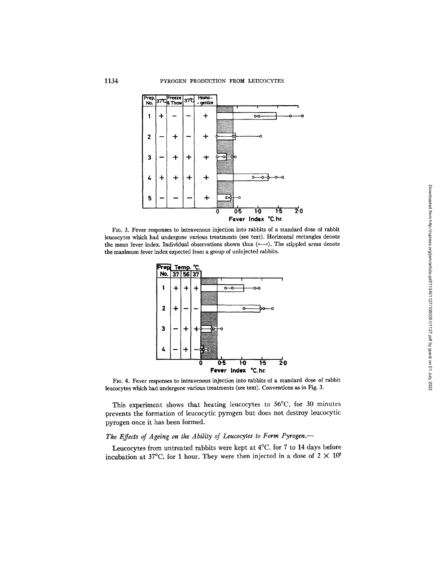

FIG. 3. Fever responses to intravenous injection into rabbits of a standard dose of rabbit ieucocytes which had undergone various treatments (see text). Horizontal rectangles denote the mean fever index. Individual observations shown thus  $(\circ -\circ)$ . The stippled areas denote the maximum fever index expected from a group of uninjected rabbits.



FIG. 4. Fever responses to intravenous injection into rabbits of a standard dose of rabbit leucocytes which had undergone various treatments (see text). Conventions as in Fig. 3.

This experiment shows that heating leucocytes to 56°C. for 30 minutes prevents the formation of leucocytic pyrogen but does not destroy leucocytic pyrogen once it has been formed.

# *The Effects of Ageing on the Ability of Leucocytes to Form Pyrogen.--*

Leucocytes from untreated rabbits were kept at 4°C. for 7 to 14 days before incubation at 37°C. for 1 hour. They were then injected in a dose of  $2 \times 10^7$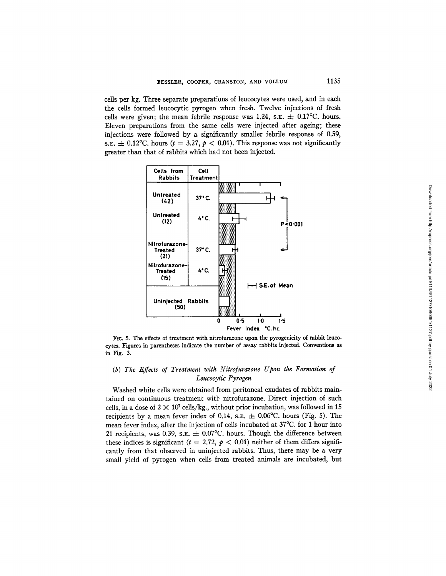cells per kg. Three separate preparations of leucocytes were used, and in each the cells formed leucocytic pyrogen when fresh. Twelve injections of fresh cells were given; the mean febrile response was 1.24, s.E.  $\pm$  0.17°C. hours. Eleven preparations from the same cells were injected after ageing; these injections were followed by a significantly smaller febrile response of 0.59, s.e.  $\pm$  0.12°C. hours (t = 3.27, p < 0.01). This response was not significantly greater than that of rabbits which had not been injected.



FIG. 5. The effects of treatment with nitrofurazone upon the pyrogenicity of rabbit leucocytes. Figures in parentheses indicate the number of assay rabbits injected. Conventions as in Fig. 3.

# *(b) The Effects of Treatment with Nitrofurazone Upon the Formation of Leucocytic Pyrogen*

Washed white cells were obtained from peritoneal exudates of rabbits maintained on continuous treatment witb nitrofurazone. Direct injection of such cells, in a dose of  $2 \times 10^7$  cells/kg., without prior incubation, was followed in 15 recipients by a mean fever index of 0.14, s.e.  $\pm$  0.06°C. hours (Fig. 5). The mean fever index, after the injection of ceils incubated at 37°C. for 1 hour into 21 recipients, was 0.39, s.e.  $\pm$  0.07°C. hours. Though the difference between these indices is significant ( $t = 2.72$ ,  $p < 0.01$ ) neither of them differs significantly from that observed in uninjected rabbits. Thus, there may be a very small yield of pyrogen when cells from treated animals are incubated, but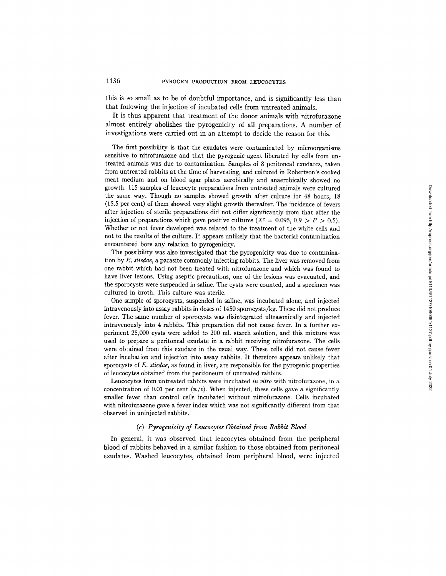this is so small as to be of doubtful importance, and is significantly less than that following the injection of incubated cells from untreated animals.

It is thus apparent that treatment of the donor animals with nitrofurazone almost entirely abolishes the pyrogenicity of all preparations. A number of investigations were carried out in an attempt to decide the reason for this.

The first possibility is that the exudates were contaminated by microorganisms sensitive to nitrofurazone and that the pyrogenic agent liberated by cells from untreated animals was due to contamination. Samples of 8 peritoneal exudates, taken from untreated rabbits at the time of harvesting, and cultured in Robertson's cooked meat medium and on blood agar plates aerobically and anaerobically showed no growth. 115 samples of leucocyte preparations from untreated animals were cultured the same way. Though no samples showed growth after culture for 48 hours, 18 (15.5 per cent) of them showed very slight growth thereafter. The incidence of fevers after injection of sterile preparations did not differ significantly from that after the injection of preparations which gave positive cultures  $(X^2 = 0.095, 0.9 > P > 0.5)$ . Whether or not fever developed was related to the treatment of the white cells and not to the results of the culture. It appears unlikely that the bacterial contamination encountered bore any relation to pyrogenicity.

The possibility was also investigated that the pyrogenicity was due to contamination by *E. stiedae,* a parasite commonly infecting rabbits. The liver was removed from one rabbit which had not been treated with nitrofurazone and which was found to have liver lesions. Using aseptic precautions, one of the lesions was evacuated, and the sporocysts were suspended in saline. The cysts were counted, and a specimen was cultured in broth. This culture was sterile.

One sample of sporocysts, suspended in saline, was incubated alone, and injected intravenously into assay rabbits in doses of 1450 sporocysts/kg. These did not produce fever. The same number of sporocysts was disintegrated ultrasonically and injected intravenously into 4 rabbits. This preparation did not cause fever. In a further experiment 25,000 cysts were added to 200 ml. starch solution, and this mixture was used to prepare a peritoneal exudate in a rabbit receiving nitrofurazone. The cells were obtained from this exudate in the usual way. These cells did not cause fever after incubation and injection into assay rabbits. It therefore appears unlikely that sporocysts of *E. stiedae,* as found in liver, are responsible for the pyrogenic properties of leucocytes obtained from the peritoneum of untreated rabbits.

Leucocytes from untreated rabbits were incubated *in vitro* with nitrofurazone, in a concentration of 0.01 per cent  $(w/v)$ . When injected, these cells gave a significantly smaller fever than control cells incubated without nitrofurazone. Cells incubated with nitrofurazone gave a fever index which was not significantly different from that observed in uninjected rabbits.

## *(c) Pyrogenicity of Leucocytes Obtained from Rabbit Blood*

In general, it was observed that leucocytes obtained from the peripheral blood of rabbits behaved in a similar fashion to those obtained from peritoneal exudates. Washed leucocytes, obtained from peripheral blood, were injected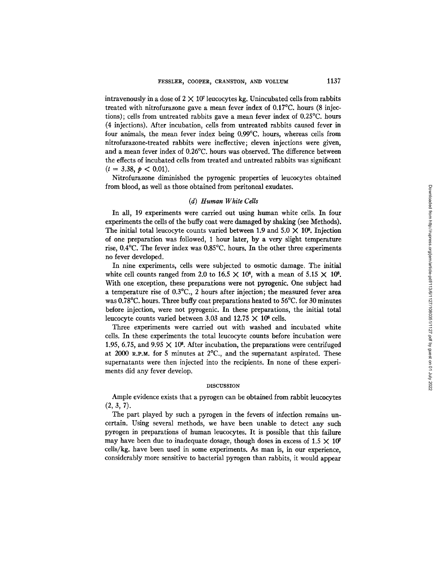intravenously in a dose of  $2 \times 10^7$  leucocytes kg. Unincubated cells from rabbits treated with nitrofurazone gave a mean fever index of 0.17°C. hours (8 injections); cells from untreated rabbits gave a mean fever index of 0.25°C. hours (4 injections). Mter incubation, cells from untreated rabbits caused fever in four animals, the mean fever index being 0.99°C. hours, whereas cells from nitrofurazone-treated rabbits were ineffective; eleven injections were given, and a mean fever index of 0.26°C. hours was observed. The difference between the effects of incubated cells from treated and untreated rabbits was significant  $(t = 3.38, p < 0.01)$ .

Nitrofurazone diminished the pyrogenic properties of leucocytes obtained from blood, as well as those obtained from peritoneal exudates.

## *(d) Human White Cells*

In all, 19 experiments were carried out using human white cells. In four experiments the cells of the huffy coat were damaged by shaking (see Methods). The initial total leucocyte counts varied between 1.9 and  $5.0 \times 10^8$ . Injection of one preparation was followed, 1 hour later, by a very slight temperature rise, 0.4°C. The fever index was 0.85°C. hours. In the other three experiments no fever developed.

In nine experiments, cells were subjected to osmotic damage. The initial white cell counts ranged from 2.0 to 16.5  $\times$  10<sup>8</sup>, with a mean of 5.15  $\times$  10<sup>8</sup>. With one exception, these preparations were not pyrogenic. One subject had a temperature rise of 0.3°C., 2 hours after injection; the measured fever area was 0.78°C. hours. Three buffy coat preparations heated to 56°C. for 30 minutes before injection, were not pyrogenic. In these preparations, the initial total leucocyte counts varied between 3.03 and 12.75  $\times$  10<sup>8</sup> cells.

Three experiments were carried out with washed and incubated white cells. In these experiments the total leucocyte counts before incubation were 1.95, 6.75, and 9.95  $\times$  10<sup>8</sup>. After incubation, the preparations were centrifuged at 2000 R.P.M. for 5 minutes at  $2^{\circ}C$ ., and the supernatant aspirated. These supernatants were then injected into the recipients. In none of these experiments did any fever develop.

#### DISCUSSION

Ample evidence exists that a pyrogen can be obtained from rabbit leucocytes  $(2, 3, 7)$ .

The part played by such a pyrogen in the fevers of infection remains uncertain. Using several methods, we have been unable to detect any such pyrogen in preparations of human leucocytes. It is possible that this failure may have been due to inadequate dosage, though doses in excess of  $1.5 \times 10^7$ cells/kg, have been used in some experiments. As man is, in our experience, considerably more sensitive to bacterial pyrogen than rabbits, it would appear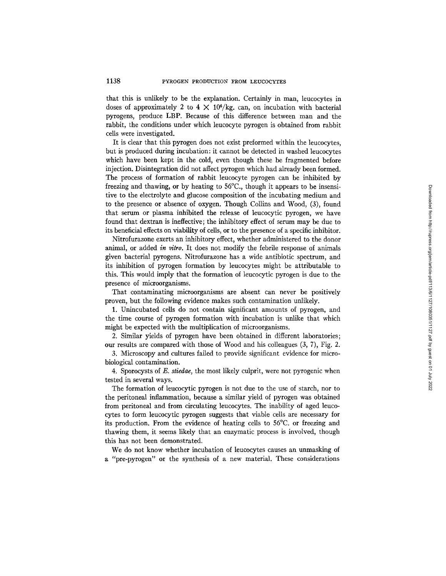that this is unlikely to be the explanation. Certainly in man, leucocytes in doses of approximately 2 to 4  $\times$  10<sup>6</sup>/kg. can, on incubation with bacterial pyrogens, produce LBP. Because of this difference between man and the rabbit, the conditions under which leucocyte pyrogen is obtained from rabbit cells were investigated.

It is clear that this pyrogen does not exist preformed within the leucocytes, but is produced during incubation: it cannot be detected in washed leucocytes which have been kept in the cold, even though these be fragmented before injection. Disintegration did not affect pyrogen which had already been formed. The process of formation of rabbit leucocyte pyrogen can be inhibited by freezing and thawing, or by heating to 56°C., though it appears to be insensitive to the electrolyte and glucose composition of the incubating medium and to the presence or absence of oxygen. Though Collins and Wood, (3), found that serum or plasma inhibited the release of leucocytic pyrogen, we have found that dextran is ineffective; the inhibitory effect of serum may be due to its beneficial effects on viability of cells, or to the presence of a specific inhibitor.

Nitrofurazone exerts an inhibitory effect, whether administered to the donor animal, or added *in vitro.* It does not modify the febrile response of animals given bacterial pyrogens. Nitrofurazone has a wide antibiotic spectrum, and its inhibition of pyrogen formation by leucocytes might be attributable to this. This would imply that the formation of leucocytic pyrogen is due to the presence of microorganisms.

That contaminating microorganisms are absent can never be positively proven, but the following evidence makes such contamination unlikely.

1. Unincubated cells do not contain significant amounts of pyrogen, and the time course of pyrogen formation with incubation is unlike that which might be expected with the multiplication of microorganisms.

2. Similar yields of pyrogen have been obtained in different laboratories; our results are compared with those of Wood and his colleagues (3, 7), Fig. 2.

3. Microscopy and cultures failed to provide significant evidence for microbiological contamination.

4. Sporocysts of *E. stiedae,* the most likely culprit, were not pyrogenic when tested in several ways.

The formation of leucocytic pyrogen is not due to the use of starch, nor to the peritoneal inflammation, because a similar yield of pyrogen was obtained from peritoneal and from circulating leucocytes. The inability of aged leucocytes to form leucocytic pyrogen suggests that viable cells are necessary for its production. From the evidence of heating cells to 56°C. or freezing and thawing them, it seems likely that an enzymatic process is involved, though this has not been demonstrated.

We do not know whether incubation of leucocytes causes an unmasking of *a "pre-pyrogen"* or the synthesis of a new material. These considerations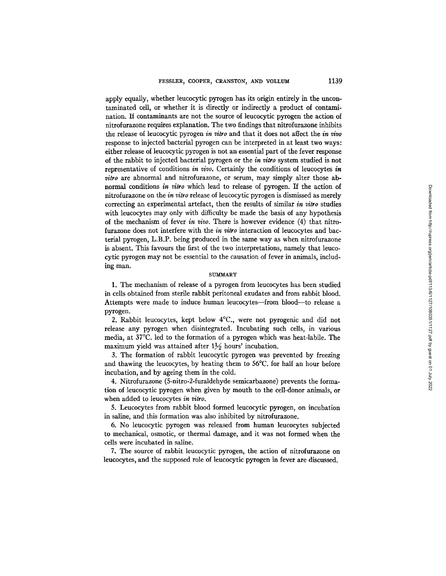apply equally, whether leucocytic pyrogen has its origin entirely in the uncontaminated cell, or whether it is directly or indirectly a product of contamination. If contaminants are not the source of leucocytic pyrogen the action of nitrofurazone requires explanation. The two findings that nitrofurazone inhibits the release of leucocytic pyrogen *in vitro* and that it does not affect the *in vivo*  response to injected bacterial pyrogen can be interpreted in at least two ways: either release of leucocytic pyrogen is not an essential part of the fever response of the rabbit to injected bacterial pyrogen or the *in vitro* system studied is not representative of conditions *in vivo.* Certainly the conditions of leucocytes *in vitro* are abnormal and nitrofurazone, or serum, may simply alter those abnormal conditions *in vitro* which lead to release of pyrogen. If the action of nitrofurazone on the *in vitro* release of leucocytic pyrogen is dismissed as merely correcting an experimental artefact, then the results of similar *in vitro* studies with leucocytes may only with difficulty be made the basis of any hypothesis of the mechanism of fever *in vivo.* There is however evidence (4) that nitrofurazone does not interfere with the *in vitro* interaction of leucocytes and bacterial pyrogen, L.B.P. being produced in the same way as when nitrofurazone is absent. This favours the first of the two interpretations, namely that leucocytic pyrogen may not be essential to the causation of fever in animals, including man.

### **SUMMARY**

1. The mechanism of release of a pyrogen from leucocytes has been studied in cells obtained from sterile rabbit peritoneal exudates and from rabbit blood. Attempts were made to induce human leucocytes--from blood--to release a pyrogen.

2. Rabbit leucocytes, kept below 4°C., were not pyrogenic and did not release any pyrogen when disintegrated. Incubating such cells, in various media, at 37°C. led to the formation of a pyrogen which was heat-labile. The maximum yield was attained after  $1\frac{1}{2}$  hours' incubation.

3. The formation of rabbit leucocytic pyrogen was prevented by freezing and thawing the leucocytes, by heating them to 56°C. for half an hour before incubation, and by ageing them in the cold.

4. Nitrofurazone (5-nitro-2-furaldehyde semicarbazone) prevents the formation of leucocytic pyrogen when given by mouth to the cell-donor animals, or when added to leucocytes *in vitro.* 

5. Leucocytes from rabbit blood formed leucocytic pyrogen, on incubation in saline, and this formation was also inhibited by nitrofurazone.

6. No leucocytic pyrogen was released from human leucocytes subjected to mechanical, osmotic, or thermal damage, and it was not formed when the cells were incubated in saline.

7. The source of rabbit leucocytic pyrogen, the action of nitrofurazone on leucocytes, and the supposed role of leucocytic pyrogen in fever are discussed.